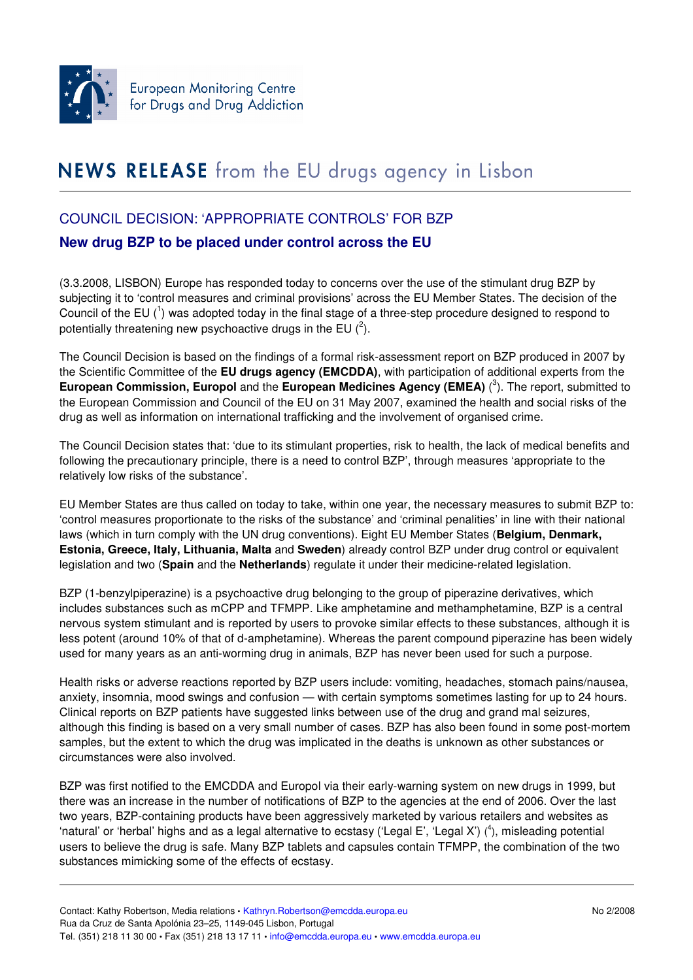

## NEWS RELEASE from the EU drugs agency in Lisbon

## COUNCIL DECISION: 'APPROPRIATE CONTROLS' FOR BZP

## **New drug BZP to be placed under control across the EU**

(3.3.2008, LISBON) Europe has responded today to concerns over the use of the stimulant drug BZP by subjecting it to 'control measures and criminal provisions' across the EU Member States. The decision of the Council of the EU  $(^1)$  was adopted today in the final stage of a three-step procedure designed to respond to potentially threatening new psychoactive drugs in the EU  $(^2)$ .

The Council Decision is based on the findings of a formal risk-assessment report on BZP produced in 2007 by the Scientific Committee of the **EU drugs agency (EMCDDA)**, with participation of additional experts from the **European Commission, Europol** and the **European Medicines Agency (EMEA)** ( 3 ). The report, submitted to the European Commission and Council of the EU on 31 May 2007, examined the health and social risks of the drug as well as information on international trafficking and the involvement of organised crime.

The Council Decision states that: 'due to its stimulant properties, risk to health, the lack of medical benefits and following the precautionary principle, there is a need to control BZP', through measures 'appropriate to the relatively low risks of the substance'.

EU Member States are thus called on today to take, within one year, the necessary measures to submit BZP to: 'control measures proportionate to the risks of the substance' and 'criminal penalities' in line with their national laws (which in turn comply with the UN drug conventions). Eight EU Member States (**Belgium, Denmark, Estonia, Greece, Italy, Lithuania, Malta** and **Sweden**) already control BZP under drug control or equivalent legislation and two (**Spain** and the **Netherlands**) regulate it under their medicine-related legislation.

BZP (1-benzylpiperazine) is a psychoactive drug belonging to the group of piperazine derivatives, which includes substances such as mCPP and TFMPP. Like amphetamine and methamphetamine, BZP is a central nervous system stimulant and is reported by users to provoke similar effects to these substances, although it is less potent (around 10% of that of d-amphetamine). Whereas the parent compound piperazine has been widely used for many years as an anti-worming drug in animals, BZP has never been used for such a purpose.

Health risks or adverse reactions reported by BZP users include: vomiting, headaches, stomach pains/nausea, anxiety, insomnia, mood swings and confusion — with certain symptoms sometimes lasting for up to 24 hours. Clinical reports on BZP patients have suggested links between use of the drug and grand mal seizures, although this finding is based on a very small number of cases. BZP has also been found in some post-mortem samples, but the extent to which the drug was implicated in the deaths is unknown as other substances or circumstances were also involved.

BZP was first notified to the EMCDDA and Europol via their early-warning system on new drugs in 1999, but there was an increase in the number of notifications of BZP to the agencies at the end of 2006. Over the last two years, BZP-containing products have been aggressively marketed by various retailers and websites as 'natural' or 'herbal' highs and as a legal alternative to ecstasy ('Legal E', 'Legal X') (<sup>4</sup>), misleading potential users to believe the drug is safe. Many BZP tablets and capsules contain TFMPP, the combination of the two substances mimicking some of the effects of ecstasy.